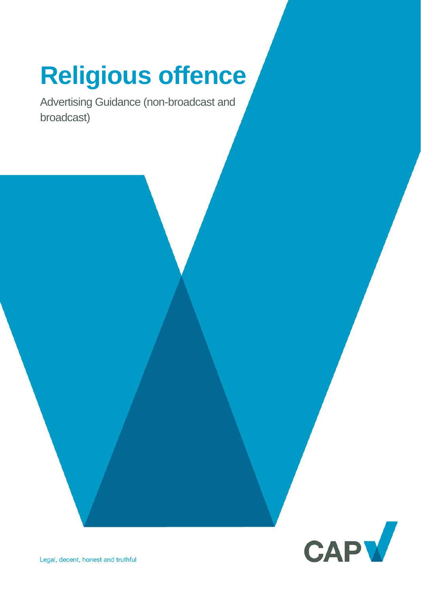# **Religious offence**

Advertising Guidance (non-broadcast and broadcast)

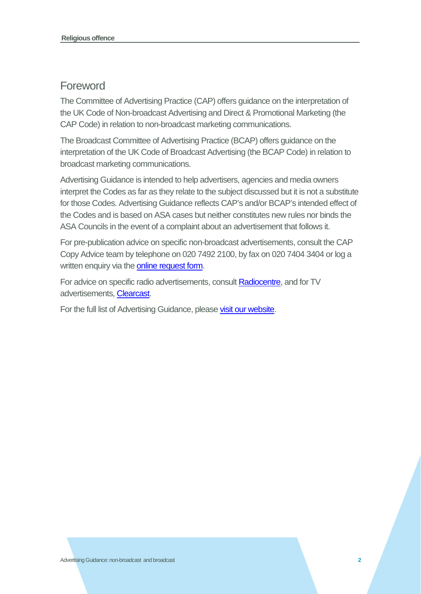# Foreword

The Committee of Advertising Practice (CAP) offers guidance on the interpretation of the UK Code of Non-broadcast Advertising and Direct & Promotional Marketing (the CAP Code) in relation to non-broadcast marketing communications.

The Broadcast Committee of Advertising Practice (BCAP) offers guidance on the interpretation of the UK Code of Broadcast Advertising (the BCAP Code) in relation to broadcast marketing communications.

Advertising Guidance is intended to help advertisers, agencies and media owners interpret the Codes as far as they relate to the subject discussed but it is not a substitute for those Codes. Advertising Guidance reflects CAP's and/or BCAP's intended effect of the Codes and is based on ASA cases but neither constitutes new rules nor binds the ASA Councils in the event of a complaint about an advertisement that follows it.

For pre-publication advice on specific non-broadcast advertisements, consult the CAP Copy Advice team by telephone on 020 7492 2100, by fax on 020 7404 3404 or log a written enquiry via the **[online request form.](https://www.cap.org.uk/Advice-Training-on-the-rules/Bespoke-Copy-Advice.aspx)** 

For advice on specific radio advertisements, consul[t Radiocentre,](http://www.radiocentre.org/clearance/) and for TV advertisements, [Clearcast.](http://www.clearcast.co.uk/)

For the full list of Advertising Guidance, please [visit our website.](https://www.cap.org.uk/Advice-Training-on-the-rules/Help-Notes.aspx)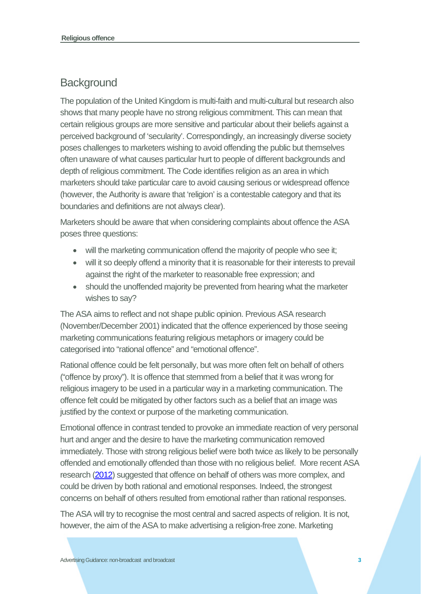# **Background**

The population of the United Kingdom is multi-faith and multi-cultural but research also shows that many people have no strong religious commitment. This can mean that certain religious groups are more sensitive and particular about their beliefs against a perceived background of 'secularity'. Correspondingly, an increasingly diverse society poses challenges to marketers wishing to avoid offending the public but themselves often unaware of what causes particular hurt to people of different backgrounds and depth of religious commitment. The Code identifies religion as an area in which marketers should take particular care to avoid causing serious or widespread offence (however, the Authority is aware that 'religion' is a contestable category and that its boundaries and definitions are not always clear).

Marketers should be aware that when considering complaints about offence the ASA poses three questions:

- will the marketing communication offend the majority of people who see it;
- will it so deeply offend a minority that it is reasonable for their interests to prevail against the right of the marketer to reasonable free expression; and
- should the unoffended majority be prevented from hearing what the marketer wishes to say?

The ASA aims to reflect and not shape public opinion. Previous ASA research (November/December 2001) indicated that the offence experienced by those seeing marketing communications featuring religious metaphors or imagery could be categorised into "rational offence" and "emotional offence".

Rational offence could be felt personally, but was more often felt on behalf of others ("offence by proxy"). It is offence that stemmed from a belief that it was wrong for religious imagery to be used in a particular way in a marketing communication. The offence felt could be mitigated by other factors such as a belief that an image was justified by the context or purpose of the marketing communication.

Emotional offence in contrast tended to provoke an immediate reaction of very personal hurt and anger and the desire to have the marketing communication removed immediately. Those with strong religious belief were both twice as likely to be personally offended and emotionally offended than those with no religious belief. More recent ASA research [\(2012\)](https://www.asa.org.uk/resource/Public-perceptions-of-harm-and-offence-in-UK-advertising.html) suggested that offence on behalf of others was more complex, and could be driven by both rational and emotional responses. Indeed, the strongest concerns on behalf of others resulted from emotional rather than rational responses.

The ASA will try to recognise the most central and sacred aspects of religion. It is not, however, the aim of the ASA to make advertising a religion-free zone. Marketing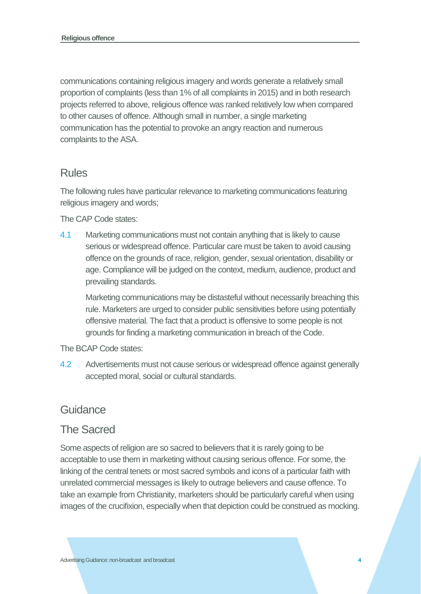communications containing religious imagery and words generate a relatively small proportion of complaints (less than 1% of all complaints in 2015) and in both research projects referred to above, religious offence was ranked relatively low when compared to other causes of offence. Although small in number, a single marketing communication has the potential to provoke an angry reaction and numerous complaints to the ASA.

# Rules

The following rules have particular relevance to marketing communications featuring religious imagery and words;

The CAP Code states:

4.1 Marketing communications must not contain anything that is likely to cause serious or widespread offence. Particular care must be taken to avoid causing offence on the grounds of race, religion, gender, sexual orientation, disability or age. Compliance will be judged on the context, medium, audience, product and prevailing standards.

Marketing communications may be distasteful without necessarily breaching this rule. Marketers are urged to consider public sensitivities before using potentially offensive material. The fact that a product is offensive to some people is not grounds for finding a marketing communication in breach of the Code.

The BCAP Code states:

4.2 Advertisements must not cause serious or widespread offence against generally accepted moral, social or cultural standards.

#### Guidance

#### The Sacred

Some aspects of religion are so sacred to believers that it is rarely going to be acceptable to use them in marketing without causing serious offence. For some, the linking of the central tenets or most sacred symbols and icons of a particular faith with unrelated commercial messages is likely to outrage believers and cause offence. To take an example from Christianity, marketers should be particularly careful when using images of the crucifixion, especially when that depiction could be construed as mocking.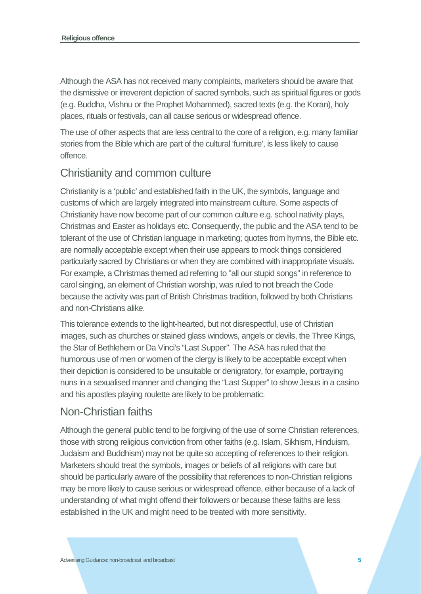Although the ASA has not received many complaints, marketers should be aware that the dismissive or irreverent depiction of sacred symbols, such as spiritual figures or gods (e.g. Buddha, Vishnu or the Prophet Mohammed), sacred texts (e.g. the Koran), holy places, rituals or festivals, can all cause serious or widespread offence.

The use of other aspects that are less central to the core of a religion, e.g. many familiar stories from the Bible which are part of the cultural 'furniture', is less likely to cause offence.

#### Christianity and common culture

Christianity is a 'public' and established faith in the UK, the symbols, language and customs of which are largely integrated into mainstream culture. Some aspects of Christianity have now become part of our common culture e.g. school nativity plays, Christmas and Easter as holidays etc. Consequently, the public and the ASA tend to be tolerant of the use of Christian language in marketing; quotes from hymns, the Bible etc. are normally acceptable except when their use appears to mock things considered particularly sacred by Christians or when they are combined with inappropriate visuals. For example, a Christmas themed ad referring to "all our stupid songs" in reference to carol singing, an element of Christian worship, was ruled to not breach the Code because the activity was part of British Christmas tradition, followed by both Christians and non-Christians alike.

This tolerance extends to the light-hearted, but not disrespectful, use of Christian images, such as churches or stained glass windows, angels or devils, the Three Kings, the Star of Bethlehem or Da Vinci's "Last Supper". The ASA has ruled that the humorous use of men or women of the clergy is likely to be acceptable except when their depiction is considered to be unsuitable or denigratory, for example, portraying nuns in a sexualised manner and changing the "Last Supper" to show Jesus in a casino and his apostles playing roulette are likely to be problematic.

# Non-Christian faiths

Although the general public tend to be forgiving of the use of some Christian references, those with strong religious conviction from other faiths (e.g. Islam, Sikhism, Hinduism, Judaism and Buddhism) may not be quite so accepting of references to their religion. Marketers should treat the symbols, images or beliefs of all religions with care but should be particularly aware of the possibility that references to non-Christian religions may be more likely to cause serious or widespread offence, either because of a lack of understanding of what might offend their followers or because these faiths are less established in the UK and might need to be treated with more sensitivity.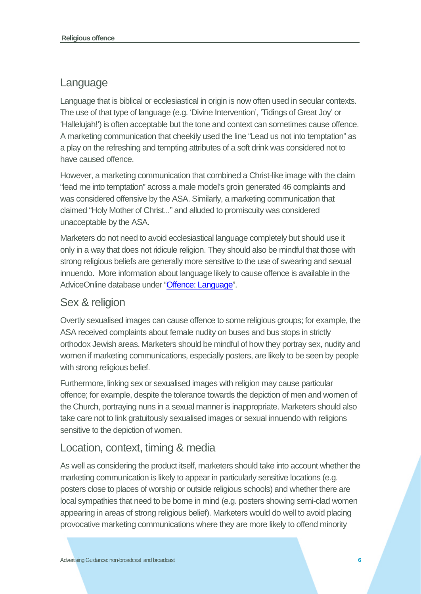### Language

Language that is biblical or ecclesiastical in origin is now often used in secular contexts. The use of that type of language (e.g. 'Divine Intervention', 'Tidings of Great Joy' or 'Hallelujah!') is often acceptable but the tone and context can sometimes cause offence. A marketing communication that cheekily used the line "Lead us not into temptation" as a play on the refreshing and tempting attributes of a soft drink was considered not to have caused offence.

However, a marketing communication that combined a Christ-like image with the claim "lead me into temptation" across a male model's groin generated 46 complaints and was considered offensive by the ASA. Similarly, a marketing communication that claimed "Holy Mother of Christ..." and alluded to promiscuity was considered unacceptable by the ASA.

Marketers do not need to avoid ecclesiastical language completely but should use it only in a way that does not ridicule religion. They should also be mindful that those with strong religious beliefs are generally more sensitive to the use of swearing and sexual innuendo. More information about language likely to cause offence is available in the AdviceOnline database under ["Offence: Language"](http://www.asa.org.uk/advice-online/offence-language.html).

# Sex & religion

Overtly sexualised images can cause offence to some religious groups; for example, the ASA received complaints about female nudity on buses and bus stops in strictly orthodox Jewish areas. Marketers should be mindful of how they portray sex, nudity and women if marketing communications, especially posters, are likely to be seen by people with strong religious belief.

Furthermore, linking sex or sexualised images with religion may cause particular offence; for example, despite the tolerance towards the depiction of men and women of the Church, portraying nuns in a sexual manner is inappropriate. Marketers should also take care not to link gratuitously sexualised images or sexual innuendo with religions sensitive to the depiction of women.

# Location, context, timing & media

As well as considering the product itself, marketers should take into account whether the marketing communication is likely to appear in particularly sensitive locations (e.g. posters close to places of worship or outside religious schools) and whether there are local sympathies that need to be borne in mind (e.g. posters showing semi-clad women appearing in areas of strong religious belief). Marketers would do well to avoid placing provocative marketing communications where they are more likely to offend minority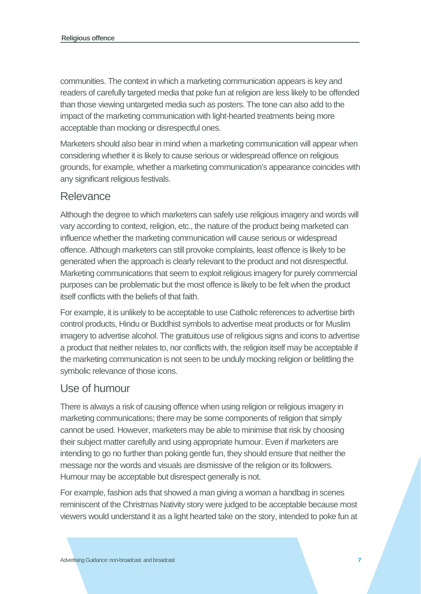communities. The context in which a marketing communication appears is key and readers of carefully targeted media that poke fun at religion are less likely to be offended than those viewing untargeted media such as posters. The tone can also add to the impact of the marketing communication with light-hearted treatments being more acceptable than mocking or disrespectful ones.

Marketers should also bear in mind when a marketing communication will appear when considering whether it is likely to cause serious or widespread offence on religious grounds, for example, whether a marketing communication's appearance coincides with any significant religious festivals.

#### Relevance

Although the degree to which marketers can safely use religious imagery and words will vary according to context, religion, etc., the nature of the product being marketed can influence whether the marketing communication will cause serious or widespread offence. Although marketers can still provoke complaints, least offence is likely to be generated when the approach is clearly relevant to the product and not disrespectful. Marketing communications that seem to exploit religious imagery for purely commercial purposes can be problematic but the most offence is likely to be felt when the product itself conflicts with the beliefs of that faith.

For example, it is unlikely to be acceptable to use Catholic references to advertise birth control products, Hindu or Buddhist symbols to advertise meat products or for Muslim imagery to advertise alcohol. The gratuitous use of religious signs and icons to advertise a product that neither relates to, nor conflicts with, the religion itself may be acceptable if the marketing communication is not seen to be unduly mocking religion or belittling the symbolic relevance of those icons.

#### Use of humour

There is always a risk of causing offence when using religion or religious imagery in marketing communications; there may be some components of religion that simply cannot be used. However, marketers may be able to minimise that risk by choosing their subject matter carefully and using appropriate humour. Even if marketers are intending to go no further than poking gentle fun, they should ensure that neither the message nor the words and visuals are dismissive of the religion or its followers. Humour may be acceptable but disrespect generally is not.

For example, fashion ads that showed a man giving a woman a handbag in scenes reminiscent of the Christmas Nativity story were judged to be acceptable because most viewers would understand it as a light hearted take on the story, intended to poke fun at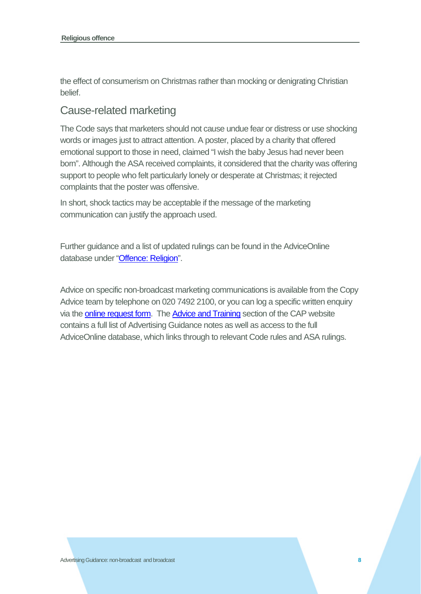the effect of consumerism on Christmas rather than mocking or denigrating Christian belief.

#### Cause-related marketing

The Code says that marketers should not cause undue fear or distress or use shocking words or images just to attract attention. A poster, placed by a charity that offered emotional support to those in need, claimed "I wish the baby Jesus had never been born". Although the ASA received complaints, it considered that the charity was offering support to people who felt particularly lonely or desperate at Christmas; it rejected complaints that the poster was offensive.

In short, shock tactics may be acceptable if the message of the marketing communication can justify the approach used.

Further guidance and a list of updated rulings can be found in the AdviceOnline database under ["Offence: Religion"](https://www.asa.org.uk/advice-online/offence-religion.html).

Advice on specific non-broadcast marketing communications is available from the Copy Advice team by telephone on 020 7492 2100, or you can log a specific written enquiry via the **online request form**. The **Advice and Training** section of the CAP website contains a full list of Advertising Guidance notes as well as access to the full AdviceOnline database, which links through to relevant Code rules and ASA rulings.